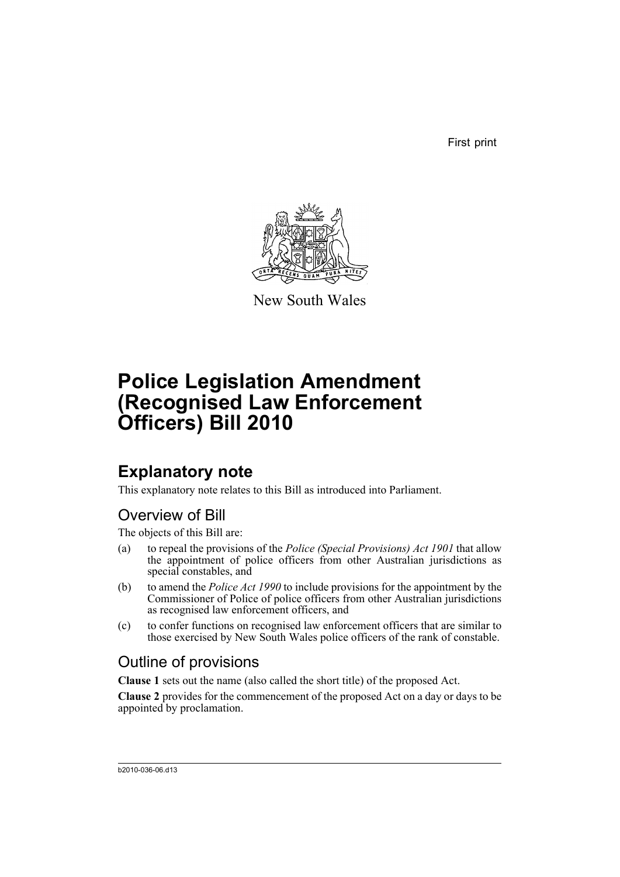First print



New South Wales

# **Police Legislation Amendment (Recognised Law Enforcement Officers) Bill 2010**

## **Explanatory note**

This explanatory note relates to this Bill as introduced into Parliament.

#### Overview of Bill

The objects of this Bill are:

- (a) to repeal the provisions of the *Police (Special Provisions) Act 1901* that allow the appointment of police officers from other Australian jurisdictions as special constables, and
- (b) to amend the *Police Act 1990* to include provisions for the appointment by the Commissioner of Police of police officers from other Australian jurisdictions as recognised law enforcement officers, and
- (c) to confer functions on recognised law enforcement officers that are similar to those exercised by New South Wales police officers of the rank of constable.

### Outline of provisions

**Clause 1** sets out the name (also called the short title) of the proposed Act.

**Clause 2** provides for the commencement of the proposed Act on a day or days to be appointed by proclamation.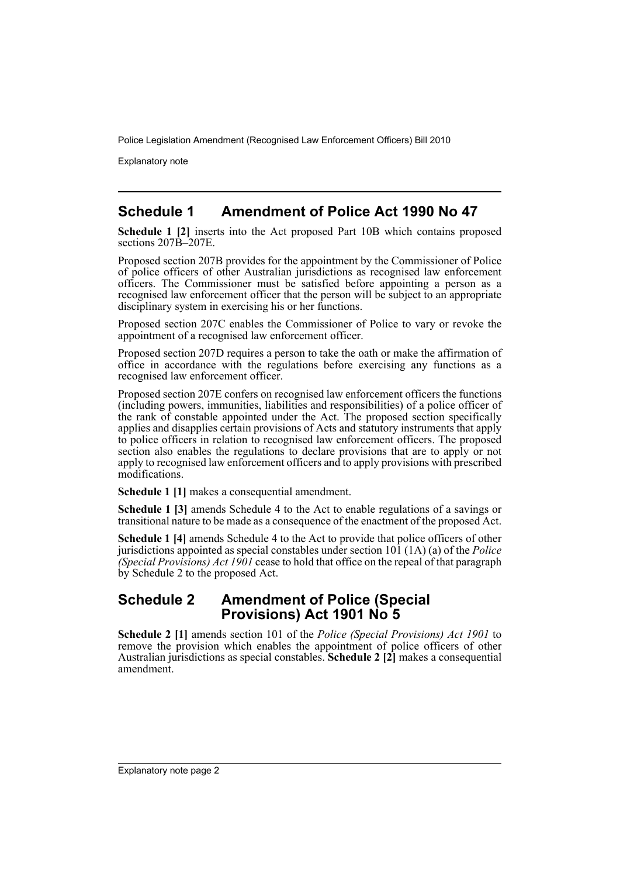Explanatory note

#### **Schedule 1 Amendment of Police Act 1990 No 47**

**Schedule 1 [2]** inserts into the Act proposed Part 10B which contains proposed sections 207B–207E.

Proposed section 207B provides for the appointment by the Commissioner of Police of police officers of other Australian jurisdictions as recognised law enforcement officers. The Commissioner must be satisfied before appointing a person as a recognised law enforcement officer that the person will be subject to an appropriate disciplinary system in exercising his or her functions.

Proposed section 207C enables the Commissioner of Police to vary or revoke the appointment of a recognised law enforcement officer.

Proposed section 207D requires a person to take the oath or make the affirmation of office in accordance with the regulations before exercising any functions as a recognised law enforcement officer.

Proposed section 207E confers on recognised law enforcement officers the functions (including powers, immunities, liabilities and responsibilities) of a police officer of the rank of constable appointed under the Act. The proposed section specifically applies and disapplies certain provisions of Acts and statutory instruments that apply to police officers in relation to recognised law enforcement officers. The proposed section also enables the regulations to declare provisions that are to apply or not apply to recognised law enforcement officers and to apply provisions with prescribed modifications.

**Schedule 1 [1]** makes a consequential amendment.

**Schedule 1 [3]** amends Schedule 4 to the Act to enable regulations of a savings or transitional nature to be made as a consequence of the enactment of the proposed Act.

**Schedule 1 [4]** amends Schedule 4 to the Act to provide that police officers of other jurisdictions appointed as special constables under section 101 (1A) (a) of the *Police (Special Provisions) Act 1901* cease to hold that office on the repeal of that paragraph by Schedule 2 to the proposed Act.

#### **Schedule 2 Amendment of Police (Special Provisions) Act 1901 No 5**

**Schedule 2 [1]** amends section 101 of the *Police (Special Provisions) Act 1901* to remove the provision which enables the appointment of police officers of other Australian jurisdictions as special constables. **Schedule 2 [2]** makes a consequential amendment.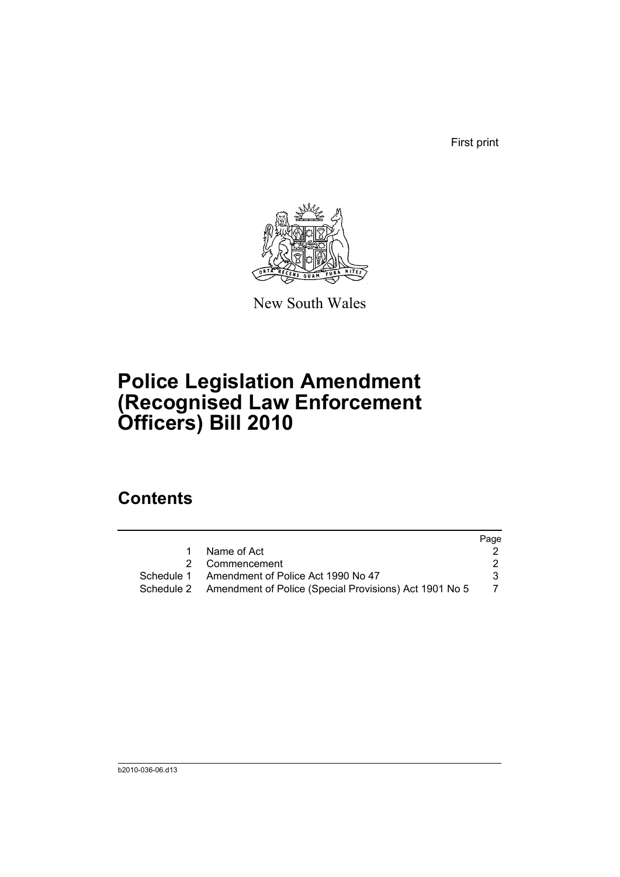First print



New South Wales

# **Police Legislation Amendment (Recognised Law Enforcement Officers) Bill 2010**

## **Contents**

|                                                                   | Page |
|-------------------------------------------------------------------|------|
| Name of Act<br>1                                                  |      |
| 2 Commencement                                                    |      |
| Schedule 1 Amendment of Police Act 1990 No 47                     | 3.   |
| Schedule 2 Amendment of Police (Special Provisions) Act 1901 No 5 |      |
|                                                                   |      |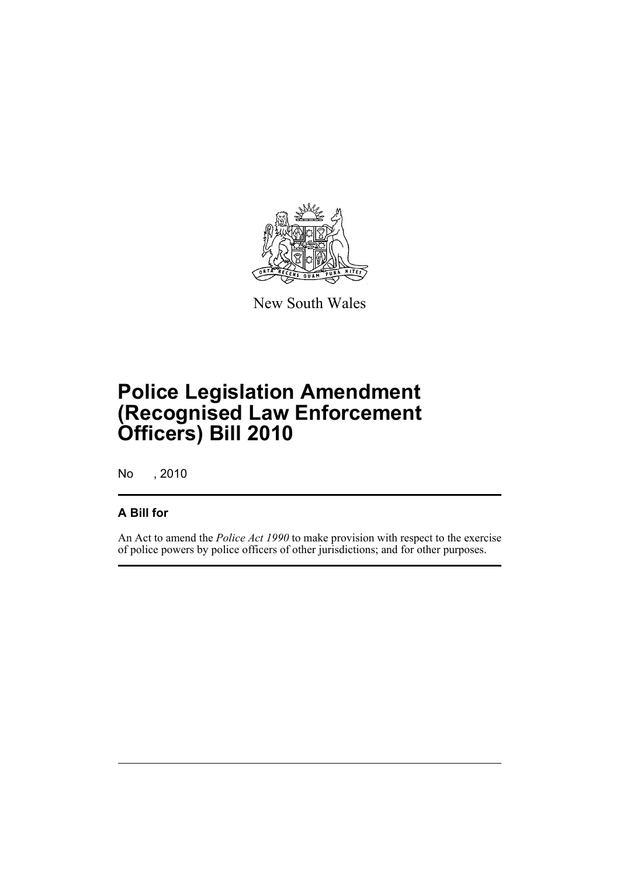

New South Wales

# **Police Legislation Amendment (Recognised Law Enforcement Officers) Bill 2010**

No , 2010

#### **A Bill for**

An Act to amend the *Police Act 1990* to make provision with respect to the exercise of police powers by police officers of other jurisdictions; and for other purposes.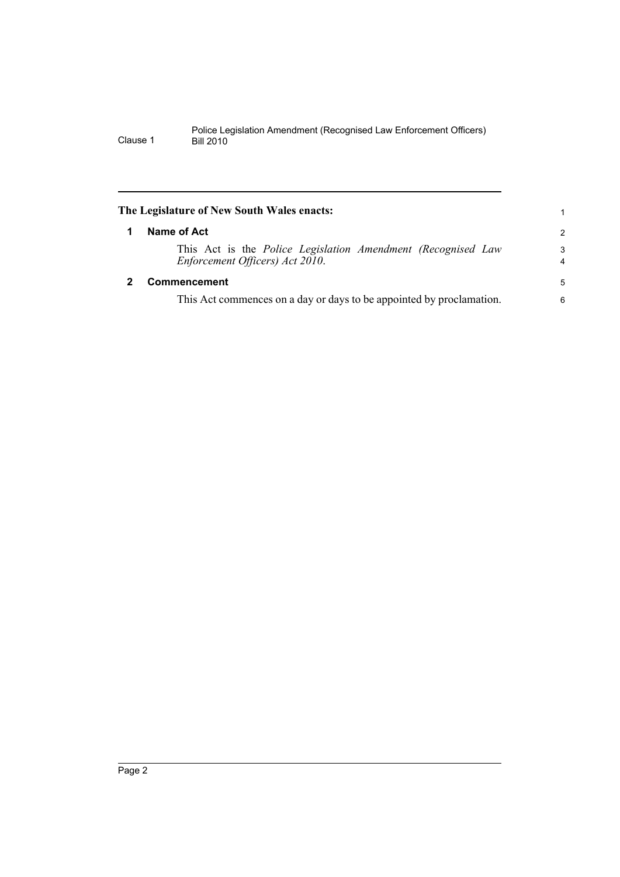<span id="page-5-1"></span><span id="page-5-0"></span>

| The Legislature of New South Wales enacts:                                                      |                     |
|-------------------------------------------------------------------------------------------------|---------------------|
| Name of Act                                                                                     | 2                   |
| This Act is the Police Legislation Amendment (Recognised Law<br>Enforcement Officers) Act 2010. | 3<br>$\overline{4}$ |
| <b>Commencement</b>                                                                             | 5                   |
| This Act commences on a day or days to be appointed by proclamation.                            | 6                   |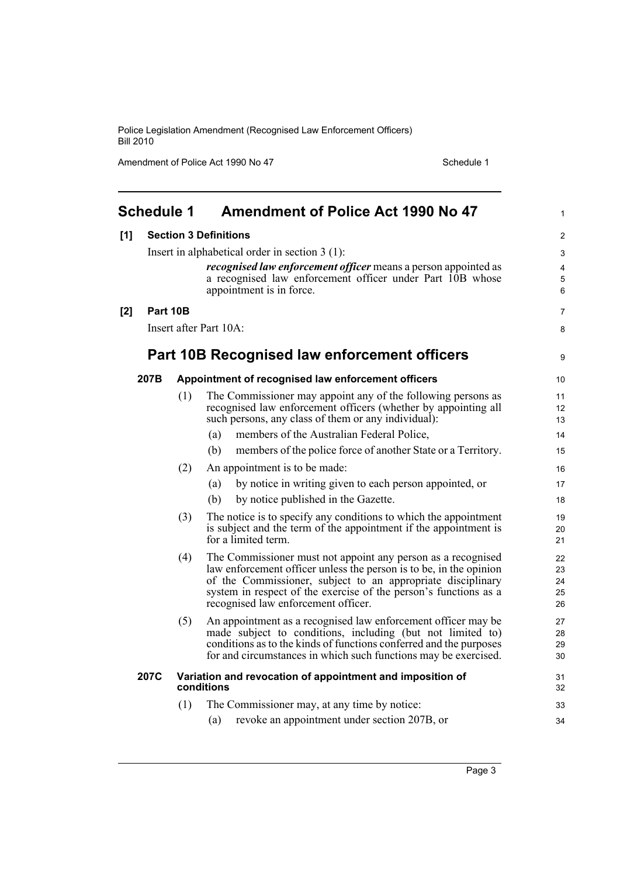Amendment of Police Act 1990 No 47 Schedule 1

<span id="page-6-0"></span>

|     | <b>Schedule 1</b> |     | <b>Amendment of Police Act 1990 No 47</b>                                                                                            | 1        |
|-----|-------------------|-----|--------------------------------------------------------------------------------------------------------------------------------------|----------|
| [1] |                   |     | <b>Section 3 Definitions</b>                                                                                                         | 2        |
|     |                   |     | Insert in alphabetical order in section $3(1)$ :                                                                                     | 3        |
|     |                   |     | <i>recognised law enforcement officer</i> means a person appointed as                                                                | 4        |
|     |                   |     | a recognised law enforcement officer under Part 10B whose<br>appointment is in force.                                                | 5<br>6   |
| [2] | Part 10B          |     |                                                                                                                                      | 7        |
|     |                   |     | Insert after Part 10A:                                                                                                               | 8        |
|     |                   |     | Part 10B Recognised law enforcement officers                                                                                         | 9        |
|     | 207B              |     | Appointment of recognised law enforcement officers                                                                                   | 10       |
|     |                   | (1) | The Commissioner may appoint any of the following persons as                                                                         | 11       |
|     |                   |     | recognised law enforcement officers (whether by appointing all<br>such persons, any class of them or any individual):                | 12       |
|     |                   |     | members of the Australian Federal Police,<br>(a)                                                                                     | 13       |
|     |                   |     | members of the police force of another State or a Territory.<br>(b)                                                                  | 14<br>15 |
|     |                   |     |                                                                                                                                      |          |
|     |                   | (2) | An appointment is to be made:                                                                                                        | 16       |
|     |                   |     | by notice in writing given to each person appointed, or<br>(a)                                                                       | 17       |
|     |                   |     | (b)<br>by notice published in the Gazette.                                                                                           | 18       |
|     |                   | (3) | The notice is to specify any conditions to which the appointment<br>is subject and the term of the appointment if the appointment is | 19       |
|     |                   |     | for a limited term.                                                                                                                  | 20<br>21 |
|     |                   | (4) | The Commissioner must not appoint any person as a recognised                                                                         | 22       |
|     |                   |     | law enforcement officer unless the person is to be, in the opinion                                                                   | 23       |
|     |                   |     | of the Commissioner, subject to an appropriate disciplinary                                                                          | 24       |
|     |                   |     | system in respect of the exercise of the person's functions as a<br>recognised law enforcement officer.                              | 25<br>26 |
|     |                   | (5) | An appointment as a recognised law enforcement officer may be                                                                        | 27       |
|     |                   |     | made subject to conditions, including (but not limited to)                                                                           | 28       |
|     |                   |     | conditions as to the kinds of functions conferred and the purposes                                                                   | 29       |
|     |                   |     | for and circumstances in which such functions may be exercised.                                                                      | 30       |
|     | 207C              |     | Variation and revocation of appointment and imposition of<br>conditions                                                              | 31<br>32 |
|     |                   | (1) | The Commissioner may, at any time by notice:                                                                                         | 33       |
|     |                   |     | revoke an appointment under section 207B, or<br>(a)                                                                                  | 34       |
|     |                   |     |                                                                                                                                      |          |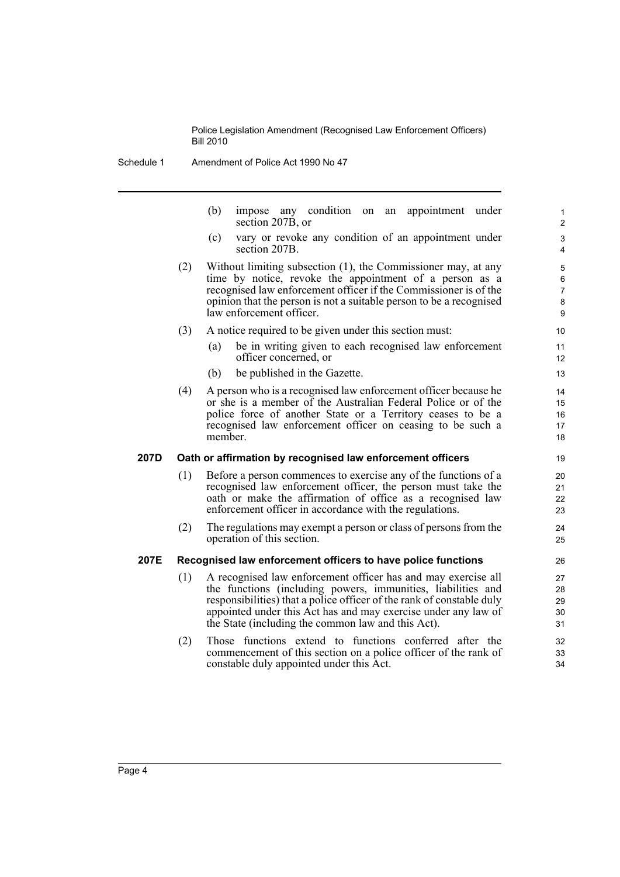Schedule 1 Amendment of Police Act 1990 No 47

(b) impose any condition on an appointment under section 207B, or

- (c) vary or revoke any condition of an appointment under section 207B.
- (2) Without limiting subsection (1), the Commissioner may, at any time by notice, revoke the appointment of a person as a recognised law enforcement officer if the Commissioner is of the opinion that the person is not a suitable person to be a recognised law enforcement officer.
- (3) A notice required to be given under this section must:
	- (a) be in writing given to each recognised law enforcement officer concerned, or
	- (b) be published in the Gazette.
- (4) A person who is a recognised law enforcement officer because he or she is a member of the Australian Federal Police or of the police force of another State or a Territory ceases to be a recognised law enforcement officer on ceasing to be such a member.

#### **207D Oath or affirmation by recognised law enforcement officers**

- (1) Before a person commences to exercise any of the functions of a recognised law enforcement officer, the person must take the oath or make the affirmation of office as a recognised law enforcement officer in accordance with the regulations.
- (2) The regulations may exempt a person or class of persons from the operation of this section.

#### **207E Recognised law enforcement officers to have police functions**

- (1) A recognised law enforcement officer has and may exercise all the functions (including powers, immunities, liabilities and responsibilities) that a police officer of the rank of constable duly appointed under this Act has and may exercise under any law of the State (including the common law and this Act).
- (2) Those functions extend to functions conferred after the commencement of this section on a police officer of the rank of constable duly appointed under this Act.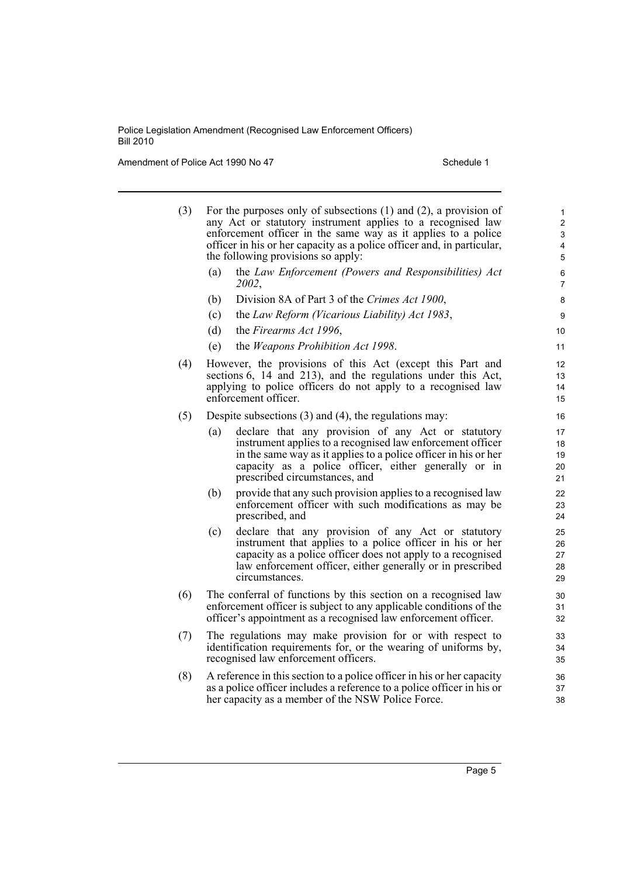Amendment of Police Act 1990 No 47 Schedule 1

- (3) For the purposes only of subsections (1) and (2), a provision of any Act or statutory instrument applies to a recognised law enforcement officer in the same way as it applies to a police officer in his or her capacity as a police officer and, in particular, the following provisions so apply:
	- (a) the *Law Enforcement (Powers and Responsibilities) Act 2002*,
	- (b) Division 8A of Part 3 of the *Crimes Act 1900*,
	- (c) the *Law Reform (Vicarious Liability) Act 1983*,
	- (d) the *Firearms Act 1996*,
	- (e) the *Weapons Prohibition Act 1998*.
- (4) However, the provisions of this Act (except this Part and sections 6, 14 and 213), and the regulations under this Act, applying to police officers do not apply to a recognised law enforcement officer.
- (5) Despite subsections (3) and (4), the regulations may:
	- (a) declare that any provision of any Act or statutory instrument applies to a recognised law enforcement officer in the same way as it applies to a police officer in his or her capacity as a police officer, either generally or in prescribed circumstances, and
	- (b) provide that any such provision applies to a recognised law enforcement officer with such modifications as may be prescribed, and
	- (c) declare that any provision of any Act or statutory instrument that applies to a police officer in his or her capacity as a police officer does not apply to a recognised law enforcement officer, either generally or in prescribed circumstances.
- (6) The conferral of functions by this section on a recognised law enforcement officer is subject to any applicable conditions of the officer's appointment as a recognised law enforcement officer.
- (7) The regulations may make provision for or with respect to identification requirements for, or the wearing of uniforms by, recognised law enforcement officers.
- (8) A reference in this section to a police officer in his or her capacity as a police officer includes a reference to a police officer in his or her capacity as a member of the NSW Police Force.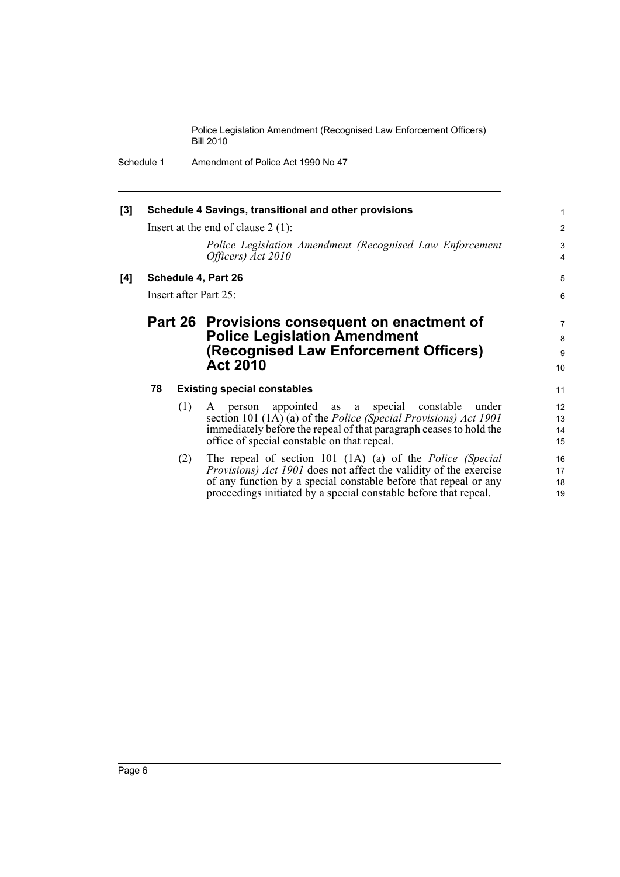Schedule 1 Amendment of Police Act 1990 No 47

| [3] | Schedule 4 Savings, transitional and other provisions<br>Insert at the end of clause $2(1)$ : |     |                                                                                | $\mathbf{1}$<br>$\overline{2}$ |
|-----|-----------------------------------------------------------------------------------------------|-----|--------------------------------------------------------------------------------|--------------------------------|
|     |                                                                                               |     | Police Legislation Amendment (Recognised Law Enforcement<br>Officers) Act 2010 | 3<br>$\overline{4}$            |
| [4] |                                                                                               |     | Schedule 4, Part 26                                                            | 5                              |
|     |                                                                                               |     | Insert after Part 25:                                                          | 6                              |
|     |                                                                                               |     | Part 26 Provisions consequent on enactment of                                  | $\overline{7}$                 |
|     |                                                                                               |     | <b>Police Legislation Amendment</b>                                            | 8                              |
|     |                                                                                               |     | (Recognised Law Enforcement Officers)                                          | 9                              |
|     |                                                                                               |     | <b>Act 2010</b>                                                                | 10                             |
|     | 78                                                                                            |     | <b>Existing special constables</b>                                             | 11                             |
|     |                                                                                               | (1) | appointed as a special constable<br>under<br>person<br>A                       | 12                             |
|     |                                                                                               |     | section 101 (1A) (a) of the <i>Police (Special Provisions) Act 1901</i>        | 13                             |
|     |                                                                                               |     | immediately before the repeal of that paragraph ceases to hold the             | 14                             |
|     |                                                                                               |     | office of special constable on that repeal.                                    | 15                             |
|     |                                                                                               | (2) | The repeal of section 101 (1A) (a) of the <i>Police (Special</i>               | 16                             |
|     |                                                                                               |     | <i>Provisions) Act 1901</i> does not affect the validity of the exercise       | 17                             |
|     |                                                                                               |     | of any function by a special constable before that repeal or any               | 18                             |
|     |                                                                                               |     | proceedings initiated by a special constable before that repeal.               | 19                             |
|     |                                                                                               |     |                                                                                |                                |